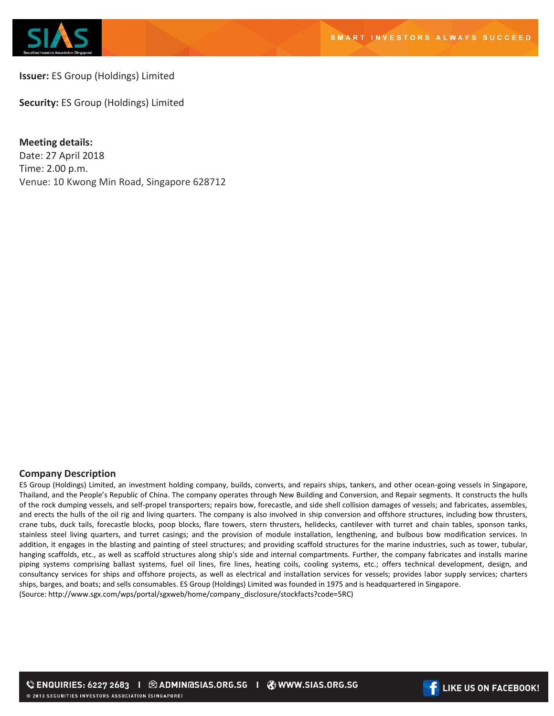

# **Issuer:** ES Group (Holdings) Limited

**Security:** ES Group (Holdings) Limited

**Meeting details:**  Date: 27 April 2018 Time: 2.00 p.m. Venue: 10 Kwong Min Road, Singapore 628712

# **Company Description**

ES Group (Holdings) Limited, an investment holding company, builds, converts, and repairs ships, tankers, and other ocean-going vessels in Singapore, Thailand, and the People's Republic of China. The company operates through New Building and Conversion, and Repair segments. It constructs the hulls of the rock dumping vessels, and self-propel transporters; repairs bow, forecastle, and side shell collision damages of vessels; and fabricates, assembles, and erects the hulls of the oil rig and living quarters. The company is also involved in ship conversion and offshore structures, including bow thrusters, crane tubs, duck tails, forecastle blocks, poop blocks, flare towers, stern thrusters, helidecks, cantilever with turret and chain tables, sponson tanks, stainless steel living quarters, and turret casings; and the provision of module installation, lengthening, and bulbous bow modification services. In addition, it engages in the blasting and painting of steel structures; and providing scaffold structures for the marine industries, such as tower, tubular, hanging scaffolds, etc., as well as scaffold structures along ship's side and internal compartments. Further, the company fabricates and installs marine piping systems comprising ballast systems, fuel oil lines, fire lines, heating coils, cooling systems, etc.; offers technical development, design, and consultancy services for ships and offshore projects, as well as electrical and installation services for vessels; provides labor supply services; charters ships, barges, and boats; and sells consumables. ES Group (Holdings) Limited was founded in 1975 and is headquartered in Singapore. (Source: http://www.sgx.com/wps/portal/sgxweb/home/company\_disclosure/stockfacts?code=5RC)

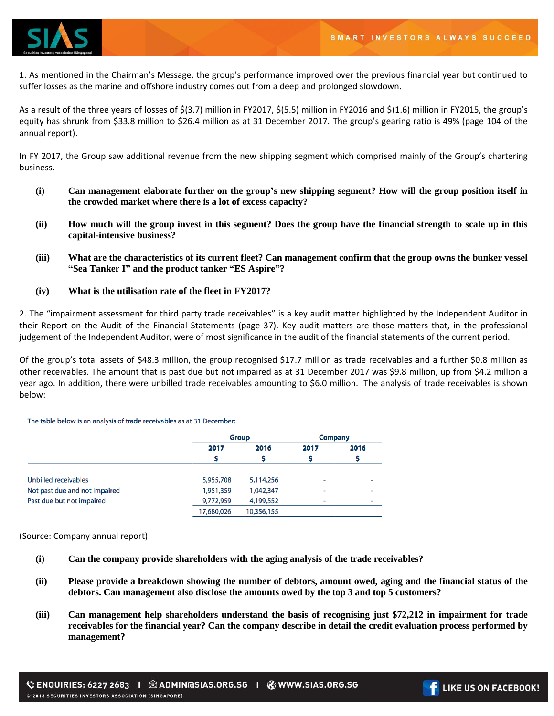

1. As mentioned in the Chairman's Message, the group's performance improved over the previous financial year but continued to suffer losses as the marine and offshore industry comes out from a deep and prolonged slowdown.

As a result of the three years of losses of \$(3.7) million in FY2017, \$(5.5) million in FY2016 and \$(1.6) million in FY2015, the group's equity has shrunk from \$33.8 million to \$26.4 million as at 31 December 2017. The group's gearing ratio is 49% (page 104 of the annual report).

In FY 2017, the Group saw additional revenue from the new shipping segment which comprised mainly of the Group's chartering business.

- **(i) Can management elaborate further on the group's new shipping segment? How will the group position itself in the crowded market where there is a lot of excess capacity?**
- **(ii) How much will the group invest in this segment? Does the group have the financial strength to scale up in this capital-intensive business?**
- **(iii) What are the characteristics of its current fleet? Can management confirm that the group owns the bunker vessel "Sea Tanker I" and the product tanker "ES Aspire"?**
- **(iv) What is the utilisation rate of the fleet in FY2017?**

2. The "impairment assessment for third party trade receivables" is a key audit matter highlighted by the Independent Auditor in their Report on the Audit of the Financial Statements (page 37). Key audit matters are those matters that, in the professional judgement of the Independent Auditor, were of most significance in the audit of the financial statements of the current period.

Of the group's total assets of \$48.3 million, the group recognised \$17.7 million as trade receivables and a further \$0.8 million as other receivables. The amount that is past due but not impaired as at 31 December 2017 was \$9.8 million, up from \$4.2 million a year ago. In addition, there were unbilled trade receivables amounting to \$6.0 million. The analysis of trade receivables is shown below:

The table below is an analysis of trade receivables as at 31 December:

|                               |            | <b>Group</b> |                          | <b>Company</b> |
|-------------------------------|------------|--------------|--------------------------|----------------|
|                               | 2017       | 2016         | 2017                     | 2016           |
|                               |            |              |                          |                |
| Unbilled receivables          | 5,955,708  | 5,114,256    | ٠                        |                |
| Not past due and not impaired | 1,951,359  | 1,042,347    | ٠                        | ۰              |
| Past due but not impaired     | 9,772,959  | 4,199,552    | $\overline{\phantom{0}}$ | -              |
|                               | 17,680,026 | 10,356,155   | ٠                        | ۰              |

(Source: Company annual report)

- **(i) Can the company provide shareholders with the aging analysis of the trade receivables?**
- **(ii) Please provide a breakdown showing the number of debtors, amount owed, aging and the financial status of the debtors. Can management also disclose the amounts owed by the top 3 and top 5 customers?**
- **(iii) Can management help shareholders understand the basis of recognising just \$72,212 in impairment for trade receivables for the financial year? Can the company describe in detail the credit evaluation process performed by management?**

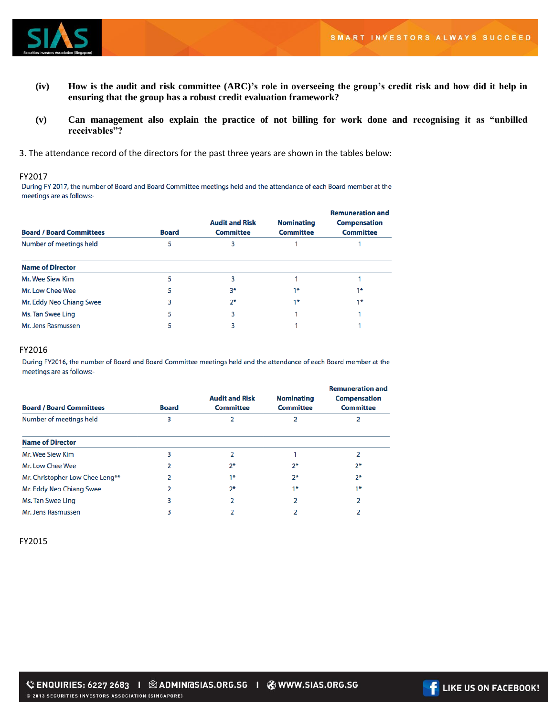

- **(iv) How is the audit and risk committee (ARC)'s role in overseeing the group's credit risk and how did it help in ensuring that the group has a robust credit evaluation framework?**
- **(v) Can management also explain the practice of not billing for work done and recognising it as "unbilled receivables"?**
- 3. The attendance record of the directors for the past three years are shown in the tables below:

FY2017<br>During FY 2017, the number of Board and Board Committee meetings held and the attendance of each Board member at the meetings are as follows:-

| <b>Board / Board Committees</b> | <b>Board</b> | <b>Audit and Risk</b><br><b>Committee</b> | <b>Nominating</b><br><b>Committee</b> | <b>Remuneration and</b><br><b>Compensation</b><br><b>Committee</b> |
|---------------------------------|--------------|-------------------------------------------|---------------------------------------|--------------------------------------------------------------------|
| Number of meetings held         | 5            | з                                         |                                       |                                                                    |
| <b>Name of Director</b>         |              |                                           |                                       |                                                                    |
| Mr. Wee Siew Kim                |              | 3                                         |                                       |                                                                    |
| Mr. Low Chee Wee                | 5            | 3*                                        | $1*$                                  | $1*$                                                               |
| Mr. Eddy Neo Chiang Swee        | 3            | $2*$                                      | $1*$                                  | $1*$                                                               |
| Ms. Tan Swee Ling               | 5            | 3                                         |                                       |                                                                    |
| Mr. Jens Rasmussen              | 5            | 3                                         |                                       |                                                                    |

### FY2016

During FY2016, the number of Board and Board Committee meetings held and the attendance of each Board member at the meetings are as follows:-

| <b>Board / Board Committees</b> | <b>Board</b> | <b>Audit and Risk</b><br><b>Committee</b> | <b>Nominating</b><br><b>Committee</b> | <b>Remuneration and</b><br><b>Compensation</b><br><b>Committee</b> |
|---------------------------------|--------------|-------------------------------------------|---------------------------------------|--------------------------------------------------------------------|
| Number of meetings held         | 3            |                                           |                                       |                                                                    |
| <b>Name of Director</b>         |              |                                           |                                       |                                                                    |
| Mr. Wee Siew Kim                | 3            |                                           |                                       | 2                                                                  |
| Mr. Low Chee Wee                |              | $2^*$                                     | $2*$                                  | $2*$                                                               |
| Mr. Christopher Low Chee Leng** |              | $1*$                                      | $2*$                                  | $2*$                                                               |
| Mr. Eddy Neo Chiang Swee        |              | 2*                                        | $1*$                                  | 1*                                                                 |
| Ms. Tan Swee Ling               | 3            |                                           |                                       | 2                                                                  |
| Mr. Jens Rasmussen              | 3            |                                           |                                       |                                                                    |

### FY2015